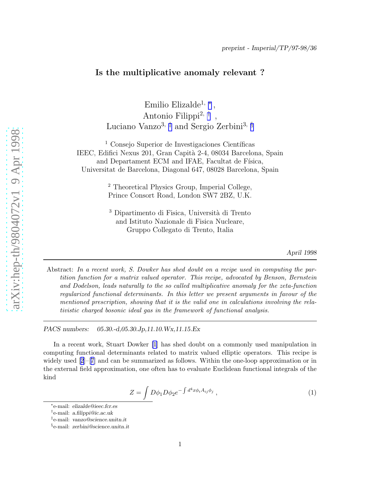## <span id="page-0-0"></span>Is the multiplicative anomaly relevant ?

Emilio Elizalde<sup>1,</sup> \* , Antonio Filippi<sup>2, †</sup> , Luciano Vanzo<sup>3, ‡</sup> and Sergio Zerbini<sup>3, §</sup>

 $<sup>1</sup>$  Consejo Superior de Investigaciones Científicas</sup> IEEC, Edifici Nexus 201, Gran Capità 2-4, 08034 Barcelona, Spain and Departament ECM and IFAE, Facultat de Física, Universitat de Barcelona, Diagonal 647, 08028 Barcelona, Spain

> <sup>2</sup> Theoretical Physics Group, Imperial College, Prince Consort Road, London SW7 2BZ, U.K.

> <sup>3</sup> Dipartimento di Fisica, Università di Trento and Istituto Nazionale di Fisica Nucleare, Gruppo Collegato di Trento, Italia

> > *April 1998*

Abstract: In a recent work, S. Dowker has shed doubt on a recipe used in computing the partition function for a matrix valued operator. This recipe, advocated by Benson, Bernstein and Dodelson, leads naturally to the so called multiplicative anomaly for the zeta-function regularized functional determinants. In this letter we present arguments in favour of the mentioned prescription, showing that it is the valid one in calculations involving the relativistic charged bosonic ideal gas in the framework of functional analysis.

*PACS numbers: 05.30.-d,05.30.Jp,11.10.Wx,11.15.Ex*

In a recent work, Stuart Dowker [\[1\]](#page-5-0) has shed doubt on a commonly used manipulation in computing functional determinants related to matrix valued elliptic operators. This recipe is widelyused  $[2]$  $[2]$  $[2]$ –[[7](#page-5-0)] and can be summarized as follows. Within the one-loop approximation or in the external field approximation, one often has to evaluate Euclidean functional integrals of the kind

$$
Z = \int D\phi_1 D\phi_2 e^{-\int d^4x \phi_i A_{ij}\phi_j} , \qquad (1)
$$

<sup>∗</sup> e-mail: elizalde@ieec.fcr.es

<sup>†</sup> e-mail: a.filippi@ic.ac.uk

<sup>‡</sup> e-mail: vanzo@science.unitn.it

<sup>§</sup> e-mail: zerbini@science.unitn.it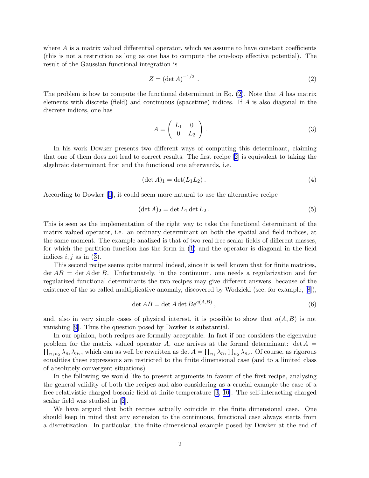<span id="page-1-0"></span>where  $A$  is a matrix valued differential operator, which we assume to have constant coefficients (this is not a restriction as long as one has to compute the one-loop effective potential). The result of the Gaussian functional integration is

$$
Z = \left(\det A\right)^{-1/2} \tag{2}
$$

The problem is how to compute the functional determinant in Eq. (2). Note that A has matrix elements with discrete (field) and continuous (spacetime) indices. If A is also diagonal in the discrete indices, one has

$$
A = \left(\begin{array}{cc} L_1 & 0 \\ 0 & L_2 \end{array}\right) . \tag{3}
$$

In his work Dowker presents two different ways of computing this determinant, claiming that one of them does not lead to correct results. The first recipe [\[2\]](#page-5-0) is equivalent to taking the algebraic determinant first and the functional one afterwards, i.e.

$$
(\det A)_1 = \det(L_1 L_2). \tag{4}
$$

According to Dowker[[1](#page-5-0)], it could seem more natural to use the alternative recipe

$$
(\det A)_2 = \det L_1 \det L_2. \tag{5}
$$

This is seen as the implementation of the right way to take the functional determinant of the matrix valued operator, i.e. an ordinary determinant on both the spatial and field indices, at the same moment. The example analized is that of two real free scalar fields of different masses, for which the partition function has the form in [\(1\)](#page-0-0) and the operator is diagonal in the field indices  $i, j$  as in (3).

This second recipe seems quite natural indeed, since it is well known that for finite matrices,  $\det AB = \det A \det B$ . Unfortunately, in the continuum, one needs a regularization and for regularized functional determinants the two recipes may give different answers, because of the existence of the so called multiplicative anomaly, discovered by Wodzicki (see, for example,[[8](#page-5-0)]),

$$
\det AB = \det A \det B e^{a(A,B)}, \qquad (6)
$$

and, also in very simple cases of physical interest, it is possible to show that  $a(A, B)$  is not vanishing [\[9\]](#page-5-0). Thus the question posed by Dowker is substantial.

In our opinion, both recipes are formally acceptable. In fact if one considers the eigenvalue problem for the matrix valued operator A, one arrives at the formal determinant:  $\det A =$  $\prod_{n_1,n_2} \lambda_{n_1} \lambda_{n_2}$ , which can as well be rewritten as  $\det A = \prod_{n_1} \lambda_{n_1} \prod_{n_2} \lambda_{n_2}$ . Of course, as rigorous equalities these expressions are restricted to the finite dimensional case (and to a limited class of absolutely convergent situations).

In the following we would like to present arguments in favour of the first recipe, analysing the general validity of both the recipes and also considering as a crucial example the case of a free relativistic charged bosonic field at finite temperature [\[3, 10\]](#page-5-0). The self-interacting charged scalar field was studied in[[2](#page-5-0)].

We have argued that both recipes actually coincide in the finite dimensional case. One should keep in mind that any extension to the continuous, functional case always starts from a discretization. In particular, the finite dimensional example posed by Dowker at the end of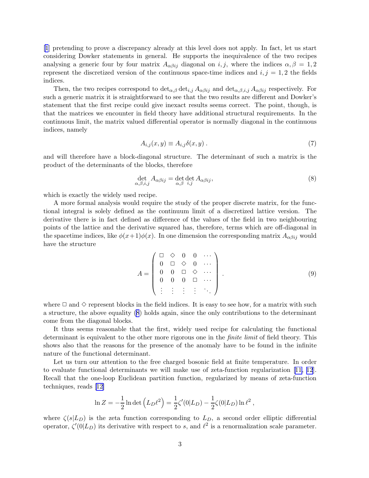[\[1](#page-5-0)] pretending to prove a discrepancy already at this level does not apply. In fact, let us start considering Dowker statements in general. He supports the inequivalence of the two recipes analysing a generic four by four matrix  $A_{\alpha\beta ij}$  diagonal on i, j, where the indices  $\alpha, \beta = 1, 2$ represent the discretized version of the continuous space-time indices and  $i, j = 1, 2$  the fields indices.

Then, the two recipes correspond to  $\det_{\alpha,\beta} \det_{i,j} A_{\alpha\beta i j}$  and  $\det_{\alpha,\beta,i,j} A_{\alpha\beta i j}$  respectively. For such a generic matrix it is straightforward to see that the two results are different and Dowker's statement that the first recipe could give inexact results seems correct. The point, though, is that the matrices we encounter in field theory have additional structural requirements. In the continuous limit, the matrix valued differential operator is normally diagonal in the continuous indices, namely

$$
A_{i,j}(x,y) \equiv A_{i,j}\delta(x,y) \tag{7}
$$

and will therefore have a block-diagonal structure. The determinant of such a matrix is the product of the determinants of the blocks, therefore

$$
\det_{\alpha,\beta,i,j} A_{\alpha\beta ij} = \det_{\alpha,\beta} \det_{i,j} A_{\alpha\beta ij},\tag{8}
$$

which is exactly the widely used recipe.

A more formal analysis would require the study of the proper discrete matrix, for the functional integral is solely defined as the continuum limit of a discretized lattice version. The derivative there is in fact defined as difference of the values of the field in two neighbouring points of the lattice and the derivative squared has, therefore, terms which are off-diagonal in the spacetime indices, like  $\phi(x+1)\phi(x)$ . In one dimension the corresponding matrix  $A_{\alpha\beta ij}$  would have the structure

$$
A = \begin{pmatrix} \Box & \Diamond & 0 & 0 & \cdots \\ 0 & \Box & \Diamond & 0 & \cdots \\ 0 & 0 & \Box & \Diamond & \cdots \\ 0 & 0 & 0 & \Box & \cdots \\ \vdots & \vdots & \vdots & \vdots & \ddots \end{pmatrix} . \tag{9}
$$

where  $\Box$  and  $\diamond$  represent blocks in the field indices. It is easy to see how, for a matrix with such a structure, the above equality (8) holds again, since the only contributions to the determinant come from the diagonal blocks.

It thus seems reasonable that the first, widely used recipe for calculating the functional determinant is equivalent to the other more rigorous one in the *finite limit* of field theory. This shows also that the reasons for the presence of the anomaly have to be found in the infinite nature of the functional determinant.

Let us turn our attention to the free charged bosonic field at finite temperature. In order to evaluate functional determinants we will make use of zeta-function regularization[[11](#page-5-0), [12](#page-6-0)]. Recall that the one-loop Euclidean partition function, regularized by means of zeta-function techniques, reads[[12\]](#page-6-0)

$$
\ln Z = -\frac{1}{2}\ln \det (L_D \ell^2) = \frac{1}{2}\zeta'(0|L_D) - \frac{1}{2}\zeta(0|L_D)\ln \ell^2,
$$

where  $\zeta(s|L_D)$  is the zeta function corresponding to  $L_D$ , a second order elliptic differential operator,  $\zeta'(0|L_D)$  its derivative with respect to s, and  $\ell^2$  is a renormalization scale parameter.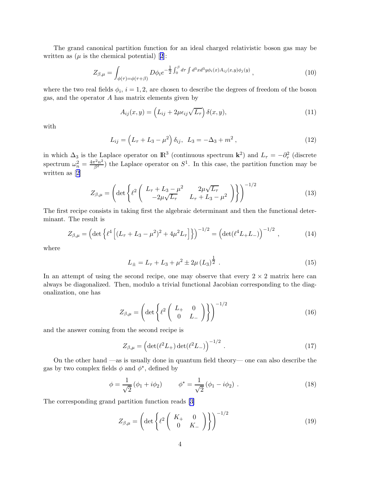The grand canonical partition function for an ideal charged relativistic boson gas may be writtenas  $(\mu \text{ is the chemical potential})$  [[2](#page-5-0)]:

$$
Z_{\beta,\mu} = \int_{\phi(\tau) = \phi(\tau+\beta)} D\phi_i e^{-\frac{1}{2} \int_0^{\beta} d\tau \int d^3x d^3y \phi_i(x) A_{ij}(x,y) \phi_j(y)}, \qquad (10)
$$

where the two real fields  $\phi_i$ ,  $i = 1, 2$ , are chosen to describe the degrees of freedom of the boson gas, and the operator A has matrix elements given by

$$
A_{ij}(x,y) = \left(L_{ij} + 2\mu\epsilon_{ij}\sqrt{L_{\tau}}\right)\delta(x,y),\tag{11}
$$

with

$$
L_{ij} = \left(L_{\tau} + L_3 - \mu^2\right)\delta_{ij}, \ L_3 = -\Delta_3 + m^2, \tag{12}
$$

in which  $\Delta_3$  is the Laplace operator on  $\mathbb{R}^3$  (continuous spectrum  $\mathbf{k}^2$ ) and  $L_\tau = -\partial_\tau^2$  (discrete spectrum  $\omega_n^2 = \frac{4\pi^2 n^2}{\beta^2}$  the Laplace operator on  $S^1$ . In this case, the partition function may be written as[[2](#page-5-0)]

$$
Z_{\beta,\mu} = \left( \det \left\{ \ell^2 \begin{pmatrix} L_{\tau} + L_3 - \mu^2 & 2\mu\sqrt{L_{\tau}} \\ -2\mu\sqrt{L_{\tau}} & L_{\tau} + L_3 - \mu^2 \end{pmatrix} \right\} \right)^{-1/2}
$$
(13)

The first recipe consists in taking first the algebraic determinant and then the functional determinant. The result is

$$
Z_{\beta,\mu} = \left(\det\left\{\ell^4 \left[ (L_\tau + L_3 - \mu^2)^2 + 4\mu^2 L_\tau \right] \right\} \right)^{-1/2} = \left(\det(\ell^4 L_+ L_-)\right)^{-1/2},\tag{14}
$$

where

$$
L_{\pm} = L_{\tau} + L_3 + \mu^2 \pm 2\mu (L_3)^{\frac{1}{2}}.
$$
\n(15)

In an attempt of using the second recipe, one may observe that every  $2 \times 2$  matrix here can always be diagonalized. Then, modulo a trivial functional Jacobian corresponding to the diagonalization, one has

$$
Z_{\beta,\mu} = \left(\det\left\{\ell^2 \begin{pmatrix} L_+ & 0 \\ 0 & L_- \end{pmatrix}\right\}\right)^{-1/2} \tag{16}
$$

and the answer coming from the second recipe is

$$
Z_{\beta,\mu} = \left(\det(\ell^2 L_+) \det(\ell^2 L_-)\right)^{-1/2} . \tag{17}
$$

On the other hand —as is usually done in quantum field theory— one can also describe the gas by two complex fields  $\phi$  and  $\phi^*$ , defined by

$$
\phi = \frac{1}{\sqrt{2}} (\phi_1 + i\phi_2) \qquad \phi^* = \frac{1}{\sqrt{2}} (\phi_1 - i\phi_2) . \tag{18}
$$

The corresponding grand partition function reads [\[3\]](#page-5-0)

$$
Z_{\beta,\mu} = \left(\det\left\{\ell^2 \begin{pmatrix} K_+ & 0\\ 0 & K_- \end{pmatrix}\right\}\right)^{-1/2} \tag{19}
$$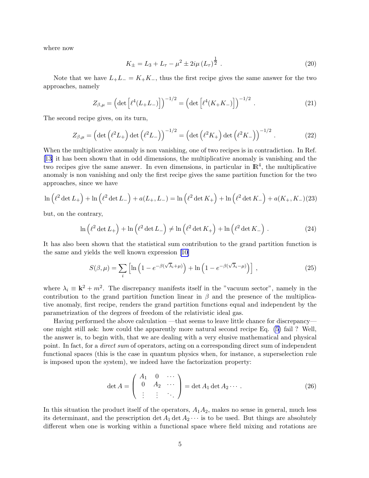where now

$$
K_{\pm} = L_3 + L_\tau - \mu^2 \pm 2i\mu \left(L_\tau\right)^{\frac{1}{2}}.
$$
 (20)

Note that we have  $L_+L_- = K_+K_-$ , thus the first recipe gives the same answer for the two approaches, namely

$$
Z_{\beta,\mu} = \left(\det\left[\ell^4(L_+L_-)\right]\right)^{-1/2} = \left(\det\left[\ell^4(K_+K_-)\right]\right)^{-1/2}.
$$
 (21)

The second recipe gives, on its turn,

$$
Z_{\beta,\mu} = \left(\det\left(\ell^2 L_+\right) \det\left(\ell^2 L_-\right)\right)^{-1/2} = \left(\det\left(\ell^2 K_+\right) \det\left(\ell^2 K_-\right)\right)^{-1/2} . \tag{22}
$$

When the multiplicative anomaly is non vanishing, one of two recipes is in contradiction. In Ref. [\[13\]](#page-6-0) it has been shown that in odd dimensions, the multiplicative anomaly is vanishing and the two recipes give the same answer. In even dimensions, in particular in  $\mathbb{R}^4$ , the multiplicative anomaly is non vanishing and only the first recipe gives the same partition function for the two approaches, since we have

$$
\ln(\ell^2 \det L_+) + \ln(\ell^2 \det L_-) + a(L_+, L_-) = \ln(\ell^2 \det K_+) + \ln(\ell^2 \det K_-) + a(K_+, K_-)(23)
$$

but, on the contrary,

$$
\ln\left(\ell^2 \det L_+\right) + \ln\left(\ell^2 \det L_-\right) \neq \ln\left(\ell^2 \det K_+\right) + \ln\left(\ell^2 \det K_-\right). \tag{24}
$$

It has also been shown that the statistical sum contribution to the grand partition function is the same and yields the well known expression [\[10\]](#page-5-0)

$$
S(\beta,\mu) = \sum_{i} \left[ \ln \left( 1 - e^{-\beta(\sqrt{\lambda_i} + \mu)} \right) + \ln \left( 1 - e^{-\beta(\sqrt{\lambda_i} - \mu)} \right) \right],
$$
 (25)

where  $\lambda_i \equiv \mathbf{k}^2 + m^2$ . The discrepancy manifests itself in the "vacuum sector", namely in the contribution to the grand partition function linear in  $\beta$  and the presence of the multiplicative anomaly, first recipe, renders the grand partition functions equal and independent by the parametrization of the degrees of freedom of the relativistic ideal gas.

Having performed the above calculation —that seems to leave little chance for discrepancy one might still ask: how could the apparently more natural second recipe Eq. [\(5\)](#page-1-0) fail ? Well, the answer is, to begin with, that we are dealing with a very elusive mathematical and physical point. In fact, for a *direct sum* of operators, acting on a corresponding direct sum of independent functional spaces (this is the case in quantum physics when, for instance, a superselection rule is imposed upon the system), we indeed have the factorization property:

$$
\det A = \begin{pmatrix} A_1 & 0 & \cdots \\ 0 & A_2 & \cdots \\ \vdots & \vdots & \ddots \end{pmatrix} = \det A_1 \det A_2 \cdots.
$$
 (26)

In this situation the product itself of the operators,  $A_1A_2$ , makes no sense in general, much less its determinant, and the prescription det  $A_1$  det  $A_2 \cdots$  is to be used. But things are absolutely different when one is working within a functional space where field mixing and rotations are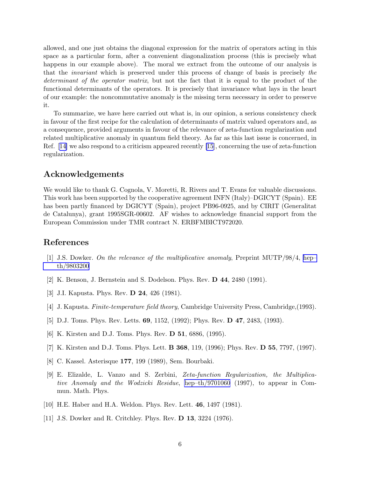<span id="page-5-0"></span>allowed, and one just obtains the diagonal expression for the matrix of operators acting in this space as a particular form, after a convenient diagonalization process (this is precisely what happens in our example above). The moral we extract from the outcome of our analysis is that the invariant which is preserved under this process of change of basis is precisely the determinant of the operator matrix, but not the fact that it is equal to the product of the functional determinants of the operators. It is precisely that invariance what lays in the heart of our example: the noncommutative anomaly is the missing term necessary in order to preserve it.

To summarize, we have here carried out what is, in our opinion, a serious consistency check in favour of the first recipe for the calculation of determinants of matrix valued operators and, as a consequence, provided arguments in favour of the relevance of zeta-function regularization and related multiplicative anomaly in quantum field theory. As far as this last issue is concerned, in Ref.[[14\]](#page-6-0) we also respond to a criticism appeared recently [\[15](#page-6-0)], concerning the use of zeta-function regularization.

## Acknowledgements

We would like to thank G. Cognola, V. Moretti, R. Rivers and T. Evans for valuable discussions. This work has been supported by the cooperative agreement INFN (Italy)–DGICYT (Spain). EE has been partly financed by DGICYT (Spain), project PB96-0925, and by CIRIT (Generalitat de Catalunya), grant 1995SGR-00602. AF wishes to acknowledge financial support from the European Commission under TMR contract N. ERBFMBICT972020.

## References

- [1] J.S. Dowker. On the relevance of the multiplicative anomaly, Preprint MUTP/98/4, [hep–](http://arxiv.org/abs/hep-th/9803200) [th/9803200](http://arxiv.org/abs/hep-th/9803200)
- [2] K. Benson, J. Bernstein and S. Dodelson. Phys. Rev. D 44, 2480 (1991).
- [3] J.I. Kapusta. Phys. Rev. **D 24**, 426 (1981).
- [4] J. Kapusta. Finite-temperature field theory, Cambridge University Press, Cambridge,(1993).
- [5] D.J. Toms. Phys. Rev. Letts. **69**, 1152, (1992); Phys. Rev. **D 47**, 2483, (1993).
- [6] K. Kirsten and D.J. Toms. Phys. Rev. D 51, 6886, (1995).
- [7] K. Kirsten and D.J. Toms. Phys. Lett. B 368, 119, (1996); Phys. Rev. D 55, 7797, (1997).
- [8] C. Kassel. Asterisque 177, 199 (1989), Sem. Bourbaki.
- [9] E. Elizalde, L. Vanzo and S. Zerbini, Zeta-function Regularization, the Multiplicative Anomaly and the Wodzicki Residue, [hep–th/9701060](http://arxiv.org/abs/hep-th/9701060) (1997), to appear in Commun. Math. Phys.
- [10] H.E. Haber and H.A. Weldon. Phys. Rev. Lett. 46, 1497 (1981).
- [11] J.S. Dowker and R. Critchley. Phys. Rev. D 13, 3224 (1976).